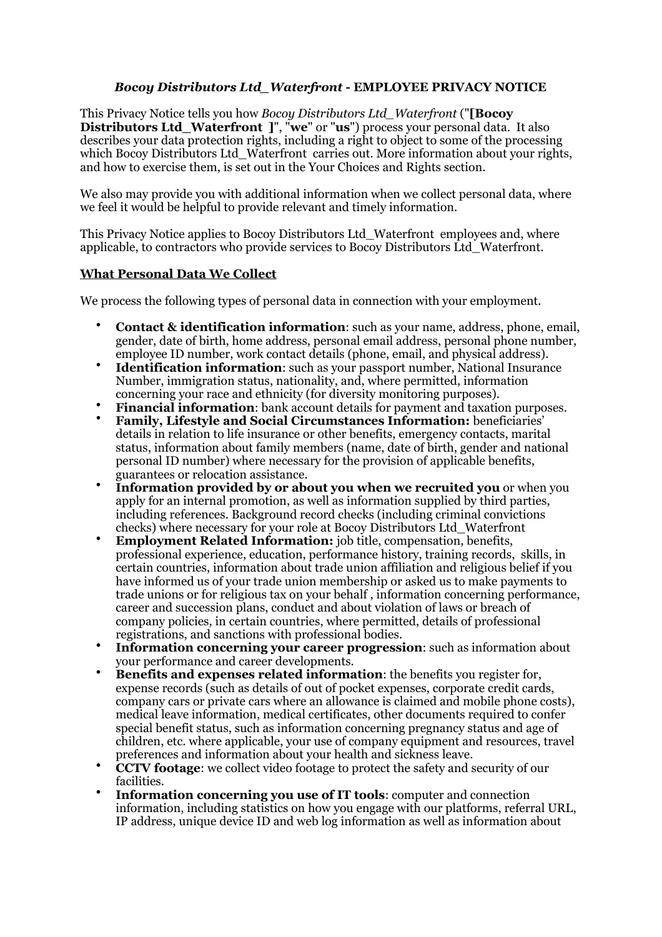### *Bocoy Distributors Ltd\_Waterfront* **- EMPLOYEE PRIVACY NOTICE**

This Privacy Notice tells you how *Bocoy Distributors Ltd\_Waterfront* ("**[Bocoy Distributors Ltd\_Waterfront ]**", "**we**" or "**us**") process your personal data. It also describes your data protection rights, including a right to object to some of the processing which Bocoy Distributors Ltd Waterfront carries out. More information about your rights, and how to exercise them, is set out in the Your Choices and Rights section.

We also may provide you with additional information when we collect personal data, where we feel it would be helpful to provide relevant and timely information.

This Privacy Notice applies to Bocoy Distributors Ltd\_Waterfront employees and, where applicable, to contractors who provide services to Bocoy Distributors Ltd\_Waterfront.

#### **What Personal Data We Collect**

We process the following types of personal data in connection with your employment.

- **Contact & identification information**: such as your name, address, phone, email, gender, date of birth, home address, personal email address, personal phone number, employee ID number, work contact details (phone, email, and physical address).
- **Identification information**: such as your passport number, National Insurance Number, immigration status, nationality, and, where permitted, information concerning your race and ethnicity (for diversity monitoring purposes).
- **Financial information**: bank account details for payment and taxation purposes.
- **Family, Lifestyle and Social Circumstances Information:** beneficiaries' details in relation to life insurance or other benefits, emergency contacts, marital status, information about family members (name, date of birth, gender and national personal ID number) where necessary for the provision of applicable benefits, guarantees or relocation assistance.
- **Information provided by or about you when we recruited you** or when you apply for an internal promotion, as well as information supplied by third parties, including references. Background record checks (including criminal convictions checks) where necessary for your role at Bocoy Distributors Ltd\_Waterfront
- **Employment Related Information:** job title, compensation, benefits, professional experience, education, performance history, training records, skills, in certain countries, information about trade union affiliation and religious belief if you have informed us of your trade union membership or asked us to make payments to trade unions or for religious tax on your behalf , information concerning performance, career and succession plans, conduct and about violation of laws or breach of company policies, in certain countries, where permitted, details of professional registrations, and sanctions with professional bodies.
- **Information concerning your career progression**: such as information about your performance and career developments.
- **Benefits and expenses related information**: the benefits you register for, expense records (such as details of out of pocket expenses, corporate credit cards, company cars or private cars where an allowance is claimed and mobile phone costs), medical leave information, medical certificates, other documents required to confer special benefit status, such as information concerning pregnancy status and age of children, etc. where applicable, your use of company equipment and resources, travel preferences and information about your health and sickness leave.
- **CCTV footage**: we collect video footage to protect the safety and security of our facilities.
- **Information concerning you use of IT tools**: computer and connection information, including statistics on how you engage with our platforms, referral URL, IP address, unique device ID and web log information as well as information about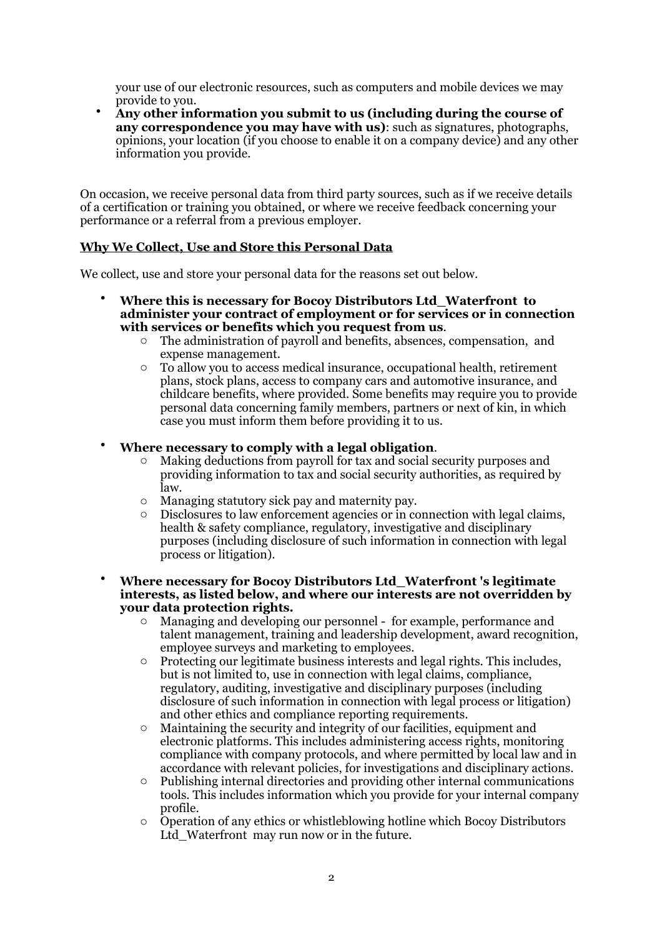your use of our electronic resources, such as computers and mobile devices we may provide to you.

• **Any other information you submit to us (including during the course of any correspondence you may have with us)**: such as signatures, photographs, opinions, your location (if you choose to enable it on a company device) and any other information you provide.

On occasion, we receive personal data from third party sources, such as if we receive details of a certification or training you obtained, or where we receive feedback concerning your performance or a referral from a previous employer.

#### **Why We Collect, Use and Store this Personal Data**

We collect, use and store your personal data for the reasons set out below.

- **Where this is necessary for Bocoy Distributors Ltd\_Waterfront to administer your contract of employment or for services or in connection with services or benefits which you request from us**.
	- The administration of payroll and benefits, absences, compensation, and expense management.
	- o To allow you to access medical insurance, occupational health, retirement plans, stock plans, access to company cars and automotive insurance, and childcare benefits, where provided. Some benefits may require you to provide personal data concerning family members, partners or next of kin, in which case you must inform them before providing it to us.
- **Where necessary to comply with a legal obligation**.
	- Making deductions from payroll for tax and social security purposes and providing information to tax and social security authorities, as required by law.
	- o Managing statutory sick pay and maternity pay.
	- o Disclosures to law enforcement agencies or in connection with legal claims, health & safety compliance, regulatory, investigative and disciplinary purposes (including disclosure of such information in connection with legal process or litigation).
- **Where necessary for Bocoy Distributors Ltd\_Waterfront 's legitimate interests, as listed below, and where our interests are not overridden by your data protection rights.**
	- Managing and developing our personnel for example, performance and talent management, training and leadership development, award recognition, employee surveys and marketing to employees.
	- o Protecting our legitimate business interests and legal rights. This includes, but is not limited to, use in connection with legal claims, compliance, regulatory, auditing, investigative and disciplinary purposes (including disclosure of such information in connection with legal process or litigation) and other ethics and compliance reporting requirements.
	- o Maintaining the security and integrity of our facilities, equipment and electronic platforms. This includes administering access rights, monitoring compliance with company protocols, and where permitted by local law and in accordance with relevant policies, for investigations and disciplinary actions.
	- o Publishing internal directories and providing other internal communications tools. This includes information which you provide for your internal company profile.
	- o Operation of any ethics or whistleblowing hotline which Bocoy Distributors Ltd\_Waterfront may run now or in the future.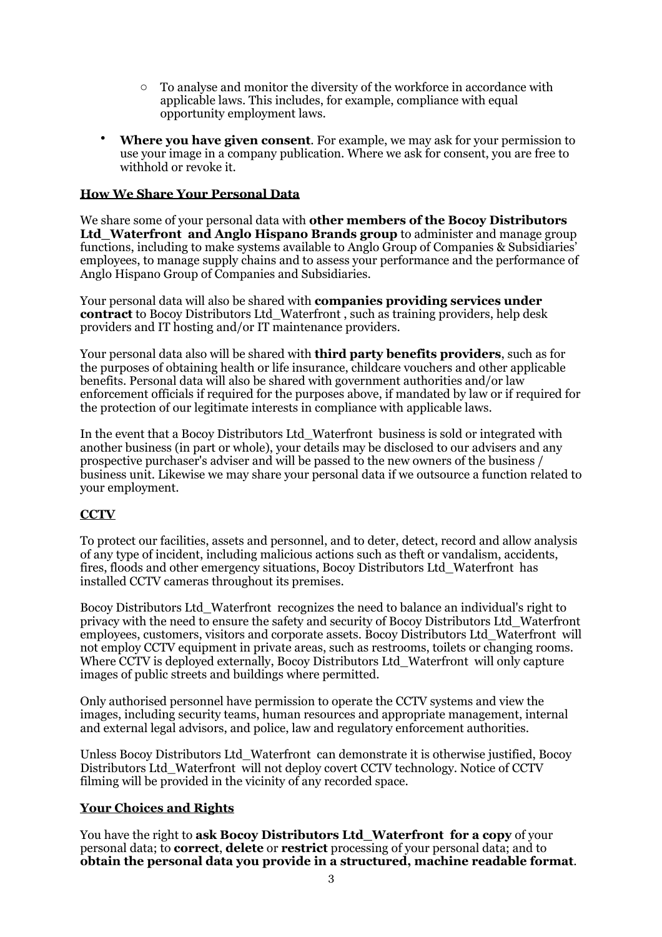- o To analyse and monitor the diversity of the workforce in accordance with applicable laws. This includes, for example, compliance with equal opportunity employment laws.
- **Where you have given consent.** For example, we may ask for your permission to use your image in a company publication. Where we ask for consent, you are free to withhold or revoke it.

### **How We Share Your Personal Data**

We share some of your personal data with **other members of the Bocoy Distributors Ltd** Waterfront and Anglo Hispano Brands group to administer and manage group functions, including to make systems available to Anglo Group of Companies & Subsidiaries' employees, to manage supply chains and to assess your performance and the performance of Anglo Hispano Group of Companies and Subsidiaries.

Your personal data will also be shared with **companies providing services under contract** to Bocoy Distributors Ltd Waterfront, such as training providers, help desk providers and IT hosting and/or IT maintenance providers.

Your personal data also will be shared with **third party benefits providers**, such as for the purposes of obtaining health or life insurance, childcare vouchers and other applicable benefits. Personal data will also be shared with government authorities and/or law enforcement officials if required for the purposes above, if mandated by law or if required for the protection of our legitimate interests in compliance with applicable laws.

In the event that a Bocoy Distributors Ltd\_Waterfront business is sold or integrated with another business (in part or whole), your details may be disclosed to our advisers and any prospective purchaser's adviser and will be passed to the new owners of the business / business unit. Likewise we may share your personal data if we outsource a function related to your employment.

## **CCTV**

To protect our facilities, assets and personnel, and to deter, detect, record and allow analysis of any type of incident, including malicious actions such as theft or vandalism, accidents, fires, floods and other emergency situations, Bocoy Distributors Ltd\_Waterfront has installed CCTV cameras throughout its premises.

Bocoy Distributors Ltd\_Waterfront recognizes the need to balance an individual's right to privacy with the need to ensure the safety and security of Bocoy Distributors Ltd\_Waterfront employees, customers, visitors and corporate assets. Bocoy Distributors Ltd\_Waterfront will not employ CCTV equipment in private areas, such as restrooms, toilets or changing rooms. Where CCTV is deployed externally, Bocoy Distributors Ltd Waterfront will only capture images of public streets and buildings where permitted.

Only authorised personnel have permission to operate the CCTV systems and view the images, including security teams, human resources and appropriate management, internal and external legal advisors, and police, law and regulatory enforcement authorities.

Unless Bocoy Distributors Ltd\_Waterfront can demonstrate it is otherwise justified, Bocoy Distributors Ltd\_Waterfront will not deploy covert CCTV technology. Notice of CCTV filming will be provided in the vicinity of any recorded space.

#### **Your Choices and Rights**

You have the right to **ask Bocoy Distributors Ltd\_Waterfront for a copy** of your personal data; to **correct**, **delete** or **restrict** processing of your personal data; and to **obtain the personal data you provide in a structured, machine readable format**.